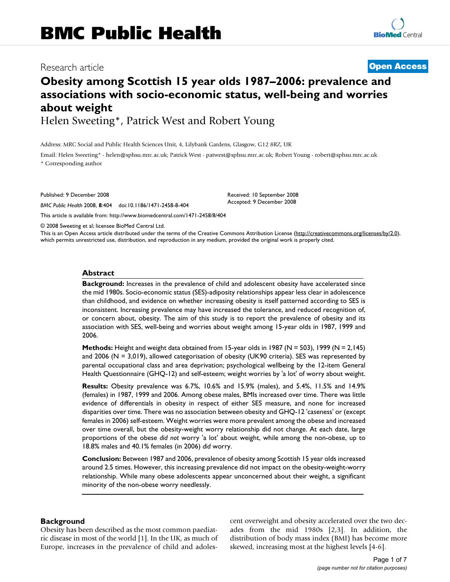# Research article **[Open Access](http://www.biomedcentral.com/info/about/charter/)**

# **Obesity among Scottish 15 year olds 1987–2006: prevalence and associations with socio-economic status, well-being and worries about weight**

Helen Sweeting\*, Patrick West and Robert Young

Address: MRC Social and Public Health Sciences Unit, 4, Lilybank Gardens, Glasgow, G12 8RZ, UK

Email: Helen Sweeting\* - helen@sphsu.mrc.ac.uk; Patrick West - patwest@sphsu.mrc.ac.uk; Robert Young - robert@sphsu.mrc.ac.uk \* Corresponding author

Published: 9 December 2008

*BMC Public Health* 2008, **8**:404 doi:10.1186/1471-2458-8-404

[This article is available from: http://www.biomedcentral.com/1471-2458/8/404](http://www.biomedcentral.com/1471-2458/8/404)

© 2008 Sweeting et al; licensee BioMed Central Ltd.

This is an Open Access article distributed under the terms of the Creative Commons Attribution License [\(http://creativecommons.org/licenses/by/2.0\)](http://creativecommons.org/licenses/by/2.0), which permits unrestricted use, distribution, and reproduction in any medium, provided the original work is properly cited.

Received: 10 September 2008 Accepted: 9 December 2008

#### **Abstract**

**Background:** Increases in the prevalence of child and adolescent obesity have accelerated since the mid 1980s. Socio-economic status (SES)-adiposity relationships appear less clear in adolescence than childhood, and evidence on whether increasing obesity is itself patterned according to SES is inconsistent. Increasing prevalence may have increased the tolerance, and reduced recognition of, or concern about, obesity. The aim of this study is to report the prevalence of obesity and its association with SES, well-being and worries about weight among 15-year olds in 1987, 1999 and 2006.

**Methods:** Height and weight data obtained from 15-year olds in 1987 (N = 503), 1999 (N = 2,145) and 2006 (N = 3,019), allowed categorisation of obesity (UK90 criteria). SES was represented by parental occupational class and area deprivation; psychological wellbeing by the 12-item General Health Questionnaire (GHQ-12) and self-esteem; weight worries by 'a lot' of worry about weight.

**Results:** Obesity prevalence was 6.7%, 10.6% and 15.9% (males), and 5.4%, 11.5% and 14.9% (females) in 1987, 1999 and 2006. Among obese males, BMIs increased over time. There was little evidence of differentials in obesity in respect of either SES measure, and none for increased disparities over time. There was no association between obesity and GHQ-12 'caseness' or (except females in 2006) self-esteem. Weight worries were more prevalent among the obese and increased over time overall, but the obesity-weight worry relationship did not change. At each date, large proportions of the obese *did not* worry 'a lot' about weight, while among the non-obese, up to 18.8% males and 40.1% females (in 2006) *did* worry.

**Conclusion:** Between 1987 and 2006, prevalence of obesity among Scottish 15 year olds increased around 2.5 times. However, this increasing prevalence did not impact on the obesity-weight-worry relationship. While many obese adolescents appear unconcerned about their weight, a significant minority of the non-obese worry needlessly.

#### **Background**

Obesity has been described as the most common paediatric disease in most of the world [1]. In the UK, as much of Europe, increases in the prevalence of child and adolescent overweight and obesity accelerated over the two decades from the mid 1980s [2,3]. In addition, the distribution of body mass index (BMI) has become more skewed, increasing most at the highest levels [4-6].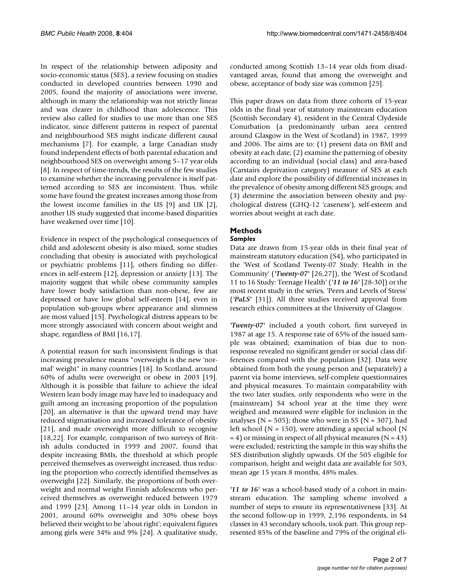In respect of the relationship between adiposity and socio-economic status (SES), a review focusing on studies conducted in developed countries between 1990 and 2005, found the majority of associations were inverse, although in many the relationship was not strictly linear and was clearer in childhood than adolescence. This review also called for studies to use more than one SES indicator, since different patterns in respect of parental and neighbourhood SES might indicate different causal mechanisms [7]. For example, a large Canadian study found independent effects of both parental education and neighbourhood SES on overweight among 5–17 year olds [8]. In respect of time-trends, the results of the few studies to examine whether the increasing prevalence is itself patterned according to SES are inconsistent. Thus, while some have found the greatest increases among those from the lowest income families in the US [9] and UK [2], another US study suggested that income-based disparities have weakened over time [10].

Evidence in respect of the psychological consequences of child and adolescent obesity is also mixed, some studies concluding that obesity is associated with psychological or psychiatric problems [11], others finding no differences in self-esteem [12], depression or anxiety [13]. The majority suggest that while obese community samples have lower body satisfaction than non-obese, few are depressed or have low global self-esteem [14], even in population sub-groups where appearance and slimness are most valued [15]. Psychological distress appears to be more strongly associated with concern about weight and shape, regardless of BMI [16,17].

A potential reason for such inconsistent findings is that increasing prevalence means "overweight is the new 'normal' weight" in many countries [18]. In Scotland, around 60% of adults were overweight or obese in 2003 [19]. Although it is possible that failure to achieve the ideal Western lean body image may have led to inadequacy and guilt among an increasing proportion of the population [20], an alternative is that the upward trend may have reduced stigmatisation and increased tolerance of obesity [21], and made overweight more difficult to recognise [18,22]. For example, comparison of two surveys of British adults conducted in 1999 and 2007, found that despite increasing BMIs, the threshold at which people perceived themselves as overweight increased, thus reducing the proportion who correctly identified themselves as overweight [22]. Similarly, the proportions of both overweight and normal weight Finnish adolescents who perceived themselves as overweight reduced between 1979 and 1999 [23]. Among 11–14 year olds in London in 2001, around 60% overweight and 30% obese boys believed their weight to be 'about right'; equivalent figures among girls were 34% and 9% [24]. A qualitative study,

conducted among Scottish 13–14 year olds from disadvantaged areas, found that among the overweight and obese, acceptance of body size was common [25].

This paper draws on data from three cohorts of 15-year olds in the final year of statutory mainstream education (Scottish Secondary 4), resident in the Central Clydeside Conurbation (a predominantly urban area centred around Glasgow in the West of Scotland) in 1987, 1999 and 2006. The aims are to: (1) present data on BMI and obesity at each date; (2) examine the patterning of obesity according to an individual (social class) and area-based (Carstairs deprivation category) measure of SES at each date and explore the possibility of differential increases in the prevalence of obesity among different SES groups; and (3) determine the association between obesity and psychological distress (GHQ-12 'caseness'), self-esteem and worries about weight at each date.

# **Methods**

# *Samples*

Data are drawn from 15-year olds in their final year of mainstream statutory education (S4), who participated in the 'West of Scotland Twenty-07 Study: Health in the Community' (*'Twenty-07'* [26,27]), the 'West of Scotland 11 to 16 Study: Teenage Health' (*'11 to 16'* [28-30]) or the most recent study in the series, 'Peers and Levels of Stress' (*'PaLS'* [31]). All three studies received approval from research ethics committees at the University of Glasgow.

*'Twenty-07'* included a youth cohort, first surveyed in 1987 at age 15. A response rate of 65% of the issued sample was obtained; examination of bias due to nonresponse revealed no significant gender or social class differences compared with the population [32]. Data were obtained from both the young person and (separately) a parent via home interviews, self-complete questionnaires and physical measures. To maintain comparability with the two later studies, only respondents who were in the (mainstream) S4 school year at the time they were weighed and measured were eligible for inclusion in the analyses ( $N = 505$ ); those who were in S5 ( $N = 307$ ), had left school ( $N = 150$ ), were attending a special school ( $N$  $= 4$ ) or missing in respect of all physical measures (N = 43) were excluded; restricting the sample in this way shifts the SES distribution slightly upwards. Of the 505 eligible for comparison, height and weight data are available for 503, mean age 15 years 8 months, 48% males.

*'11 to 16'* was a school-based study of a cohort in mainstream education. The sampling scheme involved a number of steps to ensure its representativeness [33]. At the second follow-up in 1999, 2,196 respondents, in S4 classes in 43 secondary schools, took part. This group represented 85% of the baseline and 79% of the original eli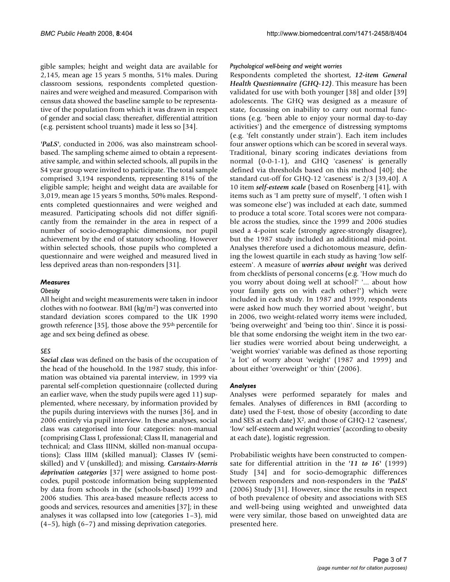gible samples; height and weight data are available for 2,145, mean age 15 years 5 months, 51% males. During classroom sessions, respondents completed questionnaires and were weighed and measured. Comparison with census data showed the baseline sample to be representative of the population from which it was drawn in respect of gender and social class; thereafter, differential attrition (e.g. persistent school truants) made it less so [34].

*'PaLS'*, conducted in 2006, was also mainstream schoolbased. The sampling scheme aimed to obtain a representative sample, and within selected schools, all pupils in the S4 year group were invited to participate. The total sample comprised 3,194 respondents, representing 81% of the eligible sample; height and weight data are available for 3,019, mean age 15 years 5 months, 50% males. Respondents completed questionnaires and were weighed and measured. Participating schools did not differ significantly from the remainder in the area in respect of a number of socio-demographic dimensions, nor pupil achievement by the end of statutory schooling. However within selected schools, those pupils who completed a questionnaire and were weighed and measured lived in less deprived areas than non-responders [31].

### *Measures*

#### *Obesity*

All height and weight measurements were taken in indoor clothes with no footwear. BMI  $\frac{\text{kg}}{m^2}$  was converted into standard deviation scores compared to the UK 1990 growth reference [35], those above the 95th percentile for age and sex being defined as obese.

### *SES*

*Social class* was defined on the basis of the occupation of the head of the household. In the 1987 study, this information was obtained via parental interview, in 1999 via parental self-completion questionnaire (collected during an earlier wave, when the study pupils were aged 11) supplemented, where necessary, by information provided by the pupils during interviews with the nurses [36], and in 2006 entirely via pupil interview. In these analyses, social class was categorised into four categories: non-manual (comprising Class I, professional; Class II, managerial and technical; and Class IIINM, skilled non-manual occupations); Class IIIM (skilled manual); Classes IV (semiskilled) and V (unskilled); and missing. *Carstairs-Morris deprivation categories* [37] were assigned to home postcodes, pupil postcode information being supplemented by data from schools in the (schools-based) 1999 and 2006 studies. This area-based measure reflects access to goods and services, resources and amenities [37]; in these analyses it was collapsed into low (categories 1–3), mid (4–5), high (6–7) and missing deprivation categories.

### *Psychological well-being and weight worries*

Respondents completed the shortest, *12-item General Health Questionnaire (GHQ-12)*. This measure has been validated for use with both younger [38] and older [39] adolescents. The GHQ was designed as a measure of state, focussing on inability to carry out normal functions (e.g. 'been able to enjoy your normal day-to-day activities') and the emergence of distressing symptoms (e.g. 'felt constantly under strain'). Each item includes four answer options which can be scored in several ways. Traditional, binary scoring indicates deviations from normal (0-0-1-1), and GHQ 'caseness' is generally defined via thresholds based on this method [40]; the standard cut-off for GHQ-12 'caseness' is 2/3 [39,40]. A 10 item *self-esteem scale* (based on Rosenberg [41], with items such as 'I am pretty sure of myself', 'I often wish I was someone else') was included at each date, summed to produce a total score. Total scores were not comparable across the studies, since the 1999 and 2006 studies used a 4-point scale (strongly agree-strongly disagree), but the 1987 study included an additional mid-point. Analyses therefore used a dichotomous measure, defining the lowest quartile in each study as having 'low selfesteem'. A measure of *worries about weight* was derived from checklists of personal concerns (e.g. 'How much do you worry about doing well at school?' '... about how your family gets on with each other?') which were included in each study. In 1987 and 1999, respondents were asked how much they worried about 'weight', but in 2006, two weight-related worry items were included, 'being overweight' and 'being too thin'. Since it is possible that some endorsing the weight item in the two earlier studies were worried about being underweight, a 'weight worries' variable was defined as those reporting 'a lot' of worry about 'weight' (1987 and 1999) and about either 'overweight' or 'thin' (2006).

### *Analyses*

Analyses were performed separately for males and females. Analyses of differences in BMI (according to date) used the F-test, those of obesity (according to date and SES at each date) X2, and those of GHQ-12 'caseness', 'low' self-esteem and weight worries' (according to obesity at each date), logistic regression.

Probabilistic weights have been constructed to compensate for differential attrition in the *'11 to 16'* (1999) Study [34] and for socio-demographic differences between responders and non-responders in the *'PaLS'* (2006) Study [31]. However, since the results in respect of both prevalence of obesity and associations with SES and well-being using weighted and unweighted data were very similar, those based on unweighted data are presented here.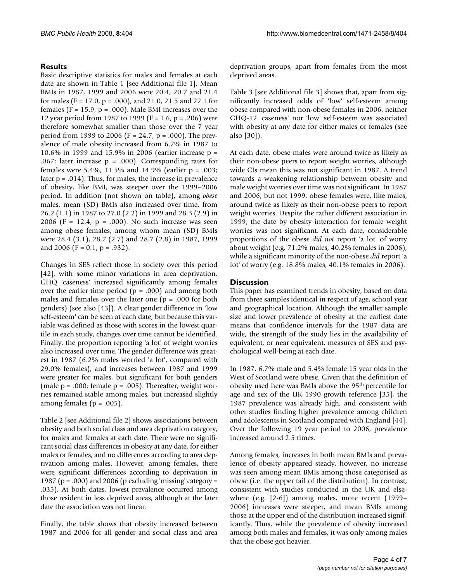#### **Results**

Basic descriptive statistics for males and females at each date are shown in Table 1 [see Additional file 1]. Mean BMIs in 1987, 1999 and 2006 were 20.4, 20.7 and 21.4 for males (F = 17.0, p = .000), and 21.0, 21.5 and 22.1 for females ( $F = 15.9$ ,  $p = .000$ ). Male BMI increases over the 12 year period from 1987 to 1999 (F = 1.6, p = .206) were therefore somewhat smaller than those over the 7 year period from 1999 to 2006 (F = 24.7, p = .000). The prevalence of male obesity increased from 6.7% in 1987 to 10.6% in 1999 and 15.9% in 2006 (earlier increase p = .067; later increase  $p = .000$ ). Corresponding rates for females were 5.4%, 11.5% and 14.9% (earlier p = .003; later  $p = .014$ ). Thus, for males, the increase in prevalence of obesity, like BMI, was steeper over the 1999–2006 period. In addition (not shown on table), among *obese* males, mean (SD) BMIs also increased over time, from 26.2 (1.1) in 1987 to 27.0 (2.2) in 1999 and 28.3 (2.9) in 2006 (F = 12.4, p = .000). No such increase was seen among obese females, among whom mean (SD) BMIs were 28.4 (3.1), 28.7 (2.7) and 28.7 (2.8) in 1987, 1999 and 2006 (F = 0.1, p = .932).

Changes in SES reflect those in society over this period [42], with some minor variations in area deprivation. GHQ 'caseness' increased significantly among females over the earlier time period  $(p = .000)$  and among both males and females over the later one  $(p = .000$  for both genders) (see also [43]). A clear gender difference in 'low self-esteem' can be seen at each date, but because this variable was defined as those with scores in the lowest quartile in each study, changes over time cannot be identified. Finally, the proportion reporting 'a lot' of weight worries also increased over time. The gender difference was greatest in 1987 (6.2% males worried 'a lot', compared with 29.0% females), and increases between 1987 and 1999 were greater for males, but significant for both genders (male  $p = .000$ ; female  $p = .005$ ). Thereafter, weight worries remained stable among males, but increased slightly among females ( $p = .005$ ).

Table 2 [see Additional file 2] shows associations between obesity and both social class and area deprivation category, for males and females at each date. There were no significant social class differences in obesity at any date, for either males or females, and no differences according to area deprivation among males. However, among females, there were significant differences according to deprivation in 1987 ( $p = .000$ ) and 2006 ( $p$  excluding 'missing' category = .035). At both dates, lowest prevalence occurred among those resident in less deprived areas, although at the later date the association was not linear.

Finally, the table shows that obesity increased between 1987 and 2006 for all gender and social class and area deprivation groups, apart from females from the most deprived areas.

Table 3 [see Additional file 3] shows that, apart from significantly increased odds of 'low' self-esteem among obese compared with non-obese females in 2006, neither GHQ-12 'caseness' nor 'low' self-esteem was associated with obesity at any date for either males or females (see also [30]).

At each date, obese males were around twice as likely as their non-obese peers to report weight worries, although wide CIs mean this was not significant in 1987. A trend towards a weakening relationship between obesity and male weight worries over time was not significant. In 1987 and 2006, but not 1999, obese females were, like males, around twice as likely as their non-obese peers to report weight worries. Despite the rather different association in 1999, the date by obesity interaction for female weight worries was not significant. At each date, considerable proportions of the obese *did not* report 'a lot' of worry about weight (e.g. 71.2% males, 40.2% females in 2006), while a significant minority of the non-obese *did* report 'a lot' of worry (e.g. 18.8% males, 40.1% females in 2006).

#### **Discussion**

This paper has examined trends in obesity, based on data from three samples identical in respect of age, school year and geographical location. Although the smaller sample size and lower prevalence of obesity at the earliest date means that confidence intervals for the 1987 data are wide, the strength of the study lies in the availability of equivalent, or near equivalent, measures of SES and psychological well-being at each date.

In 1987, 6.7% male and 5.4% female 15 year olds in the West of Scotland were obese. Given that the definition of obesity used here was BMIs above the 95th percentile for age and sex of the UK 1990 growth reference [35], the 1987 prevalence was already high, and consistent with other studies finding higher prevalence among children and adolescents in Scotland compared with England [44]. Over the following 19 year period to 2006, prevalence increased around 2.5 times.

Among females, increases in both mean BMIs and prevalence of obesity appeared steady, however, no increase was seen among mean BMIs among those categorised as obese (i.e. the upper tail of the distribution). In contrast, consistent with studies conducted in the UK and elsewhere (e.g. [2-6]) among males, more recent (1999– 2006) increases were steeper, and mean BMIs among those at the upper end of the distribution increased significantly. Thus, while the prevalence of obesity increased among both males and females, it was only among males that the obese got heavier.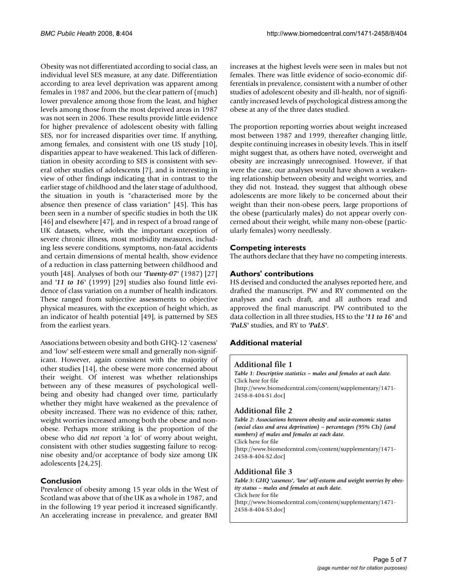Obesity was not differentiated according to social class, an individual level SES measure, at any date. Differentiation according to area level deprivation was apparent among females in 1987 and 2006, but the clear pattern of (much) lower prevalence among those from the least, and higher levels among those from the most deprived areas in 1987 was not seen in 2006. These results provide little evidence for higher prevalence of adolescent obesity with falling SES, nor for increased disparities over time. If anything, among females, and consistent with one US study [10], disparities appear to have weakened. This lack of differentiation in obesity according to SES is consistent with several other studies of adolescents [7], and is interesting in view of other findings indicating that in contrast to the earlier stage of childhood and the later stage of adulthood, the situation in youth is "characterised more by the absence then presence of class variation" [45]. This has been seen in a number of specific studies in both the UK [46] and elsewhere [47], and in respect of a broad range of UK datasets, where, with the important exception of severe chronic illness, most morbidity measures, including less severe conditions, symptoms, non-fatal accidents and certain dimensions of mental health, show evidence of a reduction in class patterning between childhood and youth [48]. Analyses of both our *'Twenty-07'* (1987) [27] and *'11 to 16'* (1999) [29] studies also found little evidence of class variation on a number of health indicators. These ranged from subjective assessments to objective physical measures, with the exception of height which, as an indicator of health potential [49], is patterned by SES from the earliest years.

Associations between obesity and both GHQ-12 'caseness' and 'low' self-esteem were small and generally non-significant. However, again consistent with the majority of other studies [14], the obese were more concerned about their weight. Of interest was whether relationships between any of these measures of psychological wellbeing and obesity had changed over time, particularly whether they might have weakened as the prevalence of obesity increased. There was no evidence of this; rather, weight worries increased among both the obese and nonobese. Perhaps more striking is the proportion of the obese who did *not* report 'a lot' of worry about weight, consistent with other studies suggesting failure to recognise obesity and/or acceptance of body size among UK adolescents [24,25].

# **Conclusion**

Prevalence of obesity among 15 year olds in the West of Scotland was above that of the UK as a whole in 1987, and in the following 19 year period it increased significantly. An accelerating increase in prevalence, and greater BMI

increases at the highest levels were seen in males but not females. There was little evidence of socio-economic differentials in prevalence, consistent with a number of other studies of adolescent obesity and ill-health, nor of significantly increased levels of psychological distress among the obese at any of the three dates studied.

The proportion reporting worries about weight increased most between 1987 and 1999, thereafter changing little, despite continuing increases in obesity levels. This in itself might suggest that, as others have noted, overweight and obesity are increasingly unrecognised. However, if that were the case, our analyses would have shown a weakening relationship between obesity and weight worries, and they did not. Instead, they suggest that although obese adolescents are more likely to be concerned about their weight than their non-obese peers, large proportions of the obese (particularly males) do not appear overly concerned about their weight, while many non-obese (particularly females) worry needlessly.

# **Competing interests**

The authors declare that they have no competing interests.

# **Authors' contributions**

HS devised and conducted the analyses reported here, and drafted the manuscript. PW and RY commented on the analyses and each draft, and all authors read and approved the final manuscript. PW contributed to the data collection in all three studies, HS to the *'11 to 16'* and *'PaLS'* studies, and RY to *'PaLS'*.

# **Additional material**

### **Additional file 1**

*Table 1: Descriptive statistics – males and females at each date.* Click here for file [\[http://www.biomedcentral.com/content/supplementary/1471-](http://www.biomedcentral.com/content/supplementary/1471-2458-8-404-S1.doc) 2458-8-404-S1.doc]

# **Additional file 2**

*Table 2: Associations between obesity and socio-economic status (social class and area deprivation) – percentages (95% CIs) (and numbers) of males and females at each date.* Click here for file [\[http://www.biomedcentral.com/content/supplementary/1471-](http://www.biomedcentral.com/content/supplementary/1471-2458-8-404-S2.doc) 2458-8-404-S2.doc]

# **Additional file 3**

*Table 3: GHQ 'caseness', 'low' self-esteem and weight worries by obesity status – males and females at each date.* Click here for file [\[http://www.biomedcentral.com/content/supplementary/1471-](http://www.biomedcentral.com/content/supplementary/1471-2458-8-404-S3.doc) 2458-8-404-S3.doc]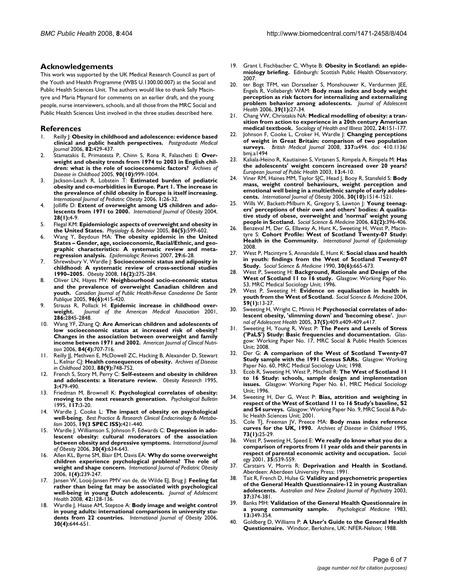#### **Acknowledgements**

This work was supported by the UK Medical Research Council as part of the Youth and Health Programme (WBS U.1300.00.007) at the Social and Public Health Sciences Unit. The authors would like to thank Sally Macintyre and Maria Maynard for comments on an earlier draft, and the young people, nurse interviewers, schools, and all those from the MRC Social and Public Health Sciences Unit involved in the three studies described here.

#### **References**

- 1. Reilly J: **[Obesity in childhood and adolescence: evidence based](http://www.ncbi.nlm.nih.gov/entrez/query.fcgi?cmd=Retrieve&db=PubMed&dopt=Abstract&list_uids=16822919) [clinical and public health perspectives.](http://www.ncbi.nlm.nih.gov/entrez/query.fcgi?cmd=Retrieve&db=PubMed&dopt=Abstract&list_uids=16822919)** *Postgraduate Medical Journal* 2006, **82:**429-437.
- 2. Stamatakis E, Primatesta P, Chinn S, Rona R, Falascheti E: **[Over](http://www.ncbi.nlm.nih.gov/entrez/query.fcgi?cmd=Retrieve&db=PubMed&dopt=Abstract&list_uids=15956046)[weight and obesity trends from 1974 to 2003 in English chil](http://www.ncbi.nlm.nih.gov/entrez/query.fcgi?cmd=Retrieve&db=PubMed&dopt=Abstract&list_uids=15956046)[dren: what is the role of socioeconomic factors?](http://www.ncbi.nlm.nih.gov/entrez/query.fcgi?cmd=Retrieve&db=PubMed&dopt=Abstract&list_uids=15956046)** *Archives of Disease in Childhood* 2005, **90(10):**999-1004.
- Jackson-Leach R, Lobstein T: **[Estimated burden of pediatric](http://www.ncbi.nlm.nih.gov/entrez/query.fcgi?cmd=Retrieve&db=PubMed&dopt=Abstract&list_uids=17902212) [obesity and co-morbidities in Europe. Part 1. The increase in](http://www.ncbi.nlm.nih.gov/entrez/query.fcgi?cmd=Retrieve&db=PubMed&dopt=Abstract&list_uids=17902212) the prevalence of child obesity in Europe is itself increasing.** *International Journal of Pediatric Obesity* 2006, **1:**26-32.
- 4. Jolliffe D: **[Extent of overweight among US children and ado](http://www.ncbi.nlm.nih.gov/entrez/query.fcgi?cmd=Retrieve&db=PubMed&dopt=Abstract&list_uids=14652618)[lescents from 1971 to 2000.](http://www.ncbi.nlm.nih.gov/entrez/query.fcgi?cmd=Retrieve&db=PubMed&dopt=Abstract&list_uids=14652618)** *International Journal of Obesity* 2004, **28(1):**4-9.
- 5. Flegal KM: **[Epidemiologic aspects of overweight and obesity in](http://www.ncbi.nlm.nih.gov/entrez/query.fcgi?cmd=Retrieve&db=PubMed&dopt=Abstract&list_uids=16242735) [the United States.](http://www.ncbi.nlm.nih.gov/entrez/query.fcgi?cmd=Retrieve&db=PubMed&dopt=Abstract&list_uids=16242735)** *Physiology & Behavior* 2005, **86(5):**599-602.
- 6. Wang Y, Beydoun MA: **[The obesity epidemic in the United](http://www.ncbi.nlm.nih.gov/entrez/query.fcgi?cmd=Retrieve&db=PubMed&dopt=Abstract&list_uids=17510091) [States – Gender, age, socioeconomic, Racial/Ethnic, and geo](http://www.ncbi.nlm.nih.gov/entrez/query.fcgi?cmd=Retrieve&db=PubMed&dopt=Abstract&list_uids=17510091)graphic characteristics: A systematic review and meta[regression analysis.](http://www.ncbi.nlm.nih.gov/entrez/query.fcgi?cmd=Retrieve&db=PubMed&dopt=Abstract&list_uids=17510091)** *Epidemiologic Reviews* 2007, **29:**6-28.
- 7. Shrewsbury V, Wardle J: **[Socioeconomic status and adiposity in](http://www.ncbi.nlm.nih.gov/entrez/query.fcgi?cmd=Retrieve&db=PubMed&dopt=Abstract&list_uids=18239633) [childhood: A systematic review of cross-sectional studies](http://www.ncbi.nlm.nih.gov/entrez/query.fcgi?cmd=Retrieve&db=PubMed&dopt=Abstract&list_uids=18239633) [1990–2005.](http://www.ncbi.nlm.nih.gov/entrez/query.fcgi?cmd=Retrieve&db=PubMed&dopt=Abstract&list_uids=18239633)** *Obesity* 2008, **16(2):**275-284.
- 8. Oliver LN, Hayes MV: **[Neighbourhood socio-economic status](http://www.ncbi.nlm.nih.gov/entrez/query.fcgi?cmd=Retrieve&db=PubMed&dopt=Abstract&list_uids=16350864) [and the prevalence of overweight Canadian children and](http://www.ncbi.nlm.nih.gov/entrez/query.fcgi?cmd=Retrieve&db=PubMed&dopt=Abstract&list_uids=16350864) [youth.](http://www.ncbi.nlm.nih.gov/entrez/query.fcgi?cmd=Retrieve&db=PubMed&dopt=Abstract&list_uids=16350864)** *Canadian Journal of Public Health-Revue Canadienne De Sante Publique* 2005, **96(6):**415-420.
- Strauss R, Pollack H: **Epidemic increase in childhood over-weight.** Journal of the American Medical Association 2001, **[weight.](http://www.ncbi.nlm.nih.gov/entrez/query.fcgi?cmd=Retrieve&db=PubMed&dopt=Abstract&list_uids=11735760)** *Journal of the American Medical Association* 2001, **286:**2845-2848.
- 10. Wang YF, Zhang Q: **[Are American children and adolescents of](http://www.ncbi.nlm.nih.gov/entrez/query.fcgi?cmd=Retrieve&db=PubMed&dopt=Abstract&list_uids=17023695) [low socioeconomic status at increased risk of obesity?](http://www.ncbi.nlm.nih.gov/entrez/query.fcgi?cmd=Retrieve&db=PubMed&dopt=Abstract&list_uids=17023695) Changes in the association between overweight and family [income between 1971 and 2002.](http://www.ncbi.nlm.nih.gov/entrez/query.fcgi?cmd=Retrieve&db=PubMed&dopt=Abstract&list_uids=17023695)** *American Journal of Clinical Nutrition* 2006, **84(4):**707-716.
- 11. Reilly JJ, Methven E, McDowell ZC, Hacking B, Alexander D, Stewart L, Kelnar CJ: **[Health consequences of obesity.](http://www.ncbi.nlm.nih.gov/entrez/query.fcgi?cmd=Retrieve&db=PubMed&dopt=Abstract&list_uids=12937090)** *Archives of Disease in Childhood* 2003, **88(9):**748-752.
- 12. French S, Story M, Perry C: **[Self-esteem and obesity in children](http://www.ncbi.nlm.nih.gov/entrez/query.fcgi?cmd=Retrieve&db=PubMed&dopt=Abstract&list_uids=8521169) [and adolescents: a literature review.](http://www.ncbi.nlm.nih.gov/entrez/query.fcgi?cmd=Retrieve&db=PubMed&dopt=Abstract&list_uids=8521169)** *Obesity Research* 1995, **3:**479-490.
- 13. Friedman M, Brownell K: **[Psychological correlates of obesity:](http://www.ncbi.nlm.nih.gov/entrez/query.fcgi?cmd=Retrieve&db=PubMed&dopt=Abstract&list_uids=7870862) [moving to the next research generation.](http://www.ncbi.nlm.nih.gov/entrez/query.fcgi?cmd=Retrieve&db=PubMed&dopt=Abstract&list_uids=7870862)** *Psychological Bulletin* 1995, **117:**3-20.
- 14. Wardle J, Cooke L: **[The impact of obesity on psychological](http://www.ncbi.nlm.nih.gov/entrez/query.fcgi?cmd=Retrieve&db=PubMed&dopt=Abstract&list_uids=16150384) [well-being.](http://www.ncbi.nlm.nih.gov/entrez/query.fcgi?cmd=Retrieve&db=PubMed&dopt=Abstract&list_uids=16150384)** *Best Practice & Research Clinical Endocrinology & Metabolism* 2005, **19(3 SPEC ISS):**421-440.
- 15. Wardle J, Williamson S, Johnson F, Edwards C: **[Depression in ado](http://www.ncbi.nlm.nih.gov/entrez/query.fcgi?cmd=Retrieve&db=PubMed&dopt=Abstract&list_uids=16570093)[lescent obesity: cultural moderators of the association](http://www.ncbi.nlm.nih.gov/entrez/query.fcgi?cmd=Retrieve&db=PubMed&dopt=Abstract&list_uids=16570093) [between obesity and depressive symptoms.](http://www.ncbi.nlm.nih.gov/entrez/query.fcgi?cmd=Retrieve&db=PubMed&dopt=Abstract&list_uids=16570093)** *International Journal of Obesity* 2006, **30(4):**634-643.
- 16. Allen KL, Byrne SM, Blair EM, Davis EA: **[Why do some overweight](http://www.ncbi.nlm.nih.gov/entrez/query.fcgi?cmd=Retrieve&db=PubMed&dopt=Abstract&list_uids=17907331) [children experience psychological problems? The role of](http://www.ncbi.nlm.nih.gov/entrez/query.fcgi?cmd=Retrieve&db=PubMed&dopt=Abstract&list_uids=17907331) [weight and shape concern.](http://www.ncbi.nlm.nih.gov/entrez/query.fcgi?cmd=Retrieve&db=PubMed&dopt=Abstract&list_uids=17907331)** *International Journal of Pediatric Obesity* 2006, **1(4):**239-247.
- 17. Jansen W, Looij-Jansen PMV van de, de Wilde EJ, Brug J: **[Feeling fat](http://www.ncbi.nlm.nih.gov/entrez/query.fcgi?cmd=Retrieve&db=PubMed&dopt=Abstract&list_uids=18207090) [rather than being fat may be associated with psychological](http://www.ncbi.nlm.nih.gov/entrez/query.fcgi?cmd=Retrieve&db=PubMed&dopt=Abstract&list_uids=18207090) [well-being in young Dutch adolescents.](http://www.ncbi.nlm.nih.gov/entrez/query.fcgi?cmd=Retrieve&db=PubMed&dopt=Abstract&list_uids=18207090)** *Journal of Adolescent Health* 2008, **42:**128-136.
- 18. Wardle J, Haase AM, Steptoe A: **[Body image and weight control](http://www.ncbi.nlm.nih.gov/entrez/query.fcgi?cmd=Retrieve&db=PubMed&dopt=Abstract&list_uids=16151414) [in young adults: international comparisons in university stu](http://www.ncbi.nlm.nih.gov/entrez/query.fcgi?cmd=Retrieve&db=PubMed&dopt=Abstract&list_uids=16151414)[dents from 22 countries.](http://www.ncbi.nlm.nih.gov/entrez/query.fcgi?cmd=Retrieve&db=PubMed&dopt=Abstract&list_uids=16151414)** *International Journal of Obesity* 2006, **30(4):**644-651.
- 19. Grant I, Fischbacher C, Whyte B: **Obesity in Scotland: an epidemiology briefing.** Edinburgh: Scottish Public Health Observatory; 2007.
- 20. ter Bogt TFM, van Dorsselaer S, Monshouwer K, Verdurmen JEE, Engels R, Vollebergh WAM: **[Body mass index and body weight](http://www.ncbi.nlm.nih.gov/entrez/query.fcgi?cmd=Retrieve&db=PubMed&dopt=Abstract&list_uids=16781958) [perception as risk factors for internalizing and externalizing](http://www.ncbi.nlm.nih.gov/entrez/query.fcgi?cmd=Retrieve&db=PubMed&dopt=Abstract&list_uids=16781958) [problem behavior among adolescents.](http://www.ncbi.nlm.nih.gov/entrez/query.fcgi?cmd=Retrieve&db=PubMed&dopt=Abstract&list_uids=16781958)** *Journal of Adolescent Health* 2006, **39(1):**27-34.
- 21. Chang VW, Christakis NA: **Medical modelling of obesity: a transition from action to experience in a 20th century American medical textbook.** *Sociology of Health and Illness* 2002, **24:**151-177.
- 22. Johnson F, Cooke L, Croker H, Wardle J: **[Changing perceptions](http://www.ncbi.nlm.nih.gov/entrez/query.fcgi?cmd=Retrieve&db=PubMed&dopt=Abstract&list_uids=18617488) [of weight in Great Britain: comparison of two population](http://www.ncbi.nlm.nih.gov/entrez/query.fcgi?cmd=Retrieve&db=PubMed&dopt=Abstract&list_uids=18617488) [surveys.](http://www.ncbi.nlm.nih.gov/entrez/query.fcgi?cmd=Retrieve&db=PubMed&dopt=Abstract&list_uids=18617488)** *British Medical Journal* 2008, **337:**a494. doi: 410.1136/ bmj.a1494
- 23. Kaliala-Heino R, Kautiainen S, Virtanen S, Rimpela A, Rimpela M: **[Has](http://www.ncbi.nlm.nih.gov/entrez/query.fcgi?cmd=Retrieve&db=PubMed&dopt=Abstract&list_uids=12678307) [the adolescents' weight concern increased over 20 years?](http://www.ncbi.nlm.nih.gov/entrez/query.fcgi?cmd=Retrieve&db=PubMed&dopt=Abstract&list_uids=12678307)** *European Journal of Public Health* 2003, **13:**4-10.
- 24. Viner RM, Haines MM, Taylor SJC, Head J, Booy R, Stansfeld S: **[Body](http://www.ncbi.nlm.nih.gov/entrez/query.fcgi?cmd=Retrieve&db=PubMed&dopt=Abstract&list_uids=16718286) [mass, weight control behaviours, weight perception and](http://www.ncbi.nlm.nih.gov/entrez/query.fcgi?cmd=Retrieve&db=PubMed&dopt=Abstract&list_uids=16718286) emotional well being in a multiethnic sample of early adoles[cents.](http://www.ncbi.nlm.nih.gov/entrez/query.fcgi?cmd=Retrieve&db=PubMed&dopt=Abstract&list_uids=16718286)** *International Journal of Obesity* 2006, **30(10):**1514-1521.
- 25. Wills W, Backett-Milburn K, Gregory S, Lawton J: **Young teenagers' perceptions of their own and others' bodies: A qualitative study of obese, overweight and 'normal' weight young people in Scotland.** *Social Science & Medicine* 2006, **62(2):**396-406.
- Benzeval M, Der G, Ellaway A, Hunt K, Sweeting H, West P, Macintyre S: **[Cohort Profile: West of Scotland Twenty-07 Study:](http://www.ncbi.nlm.nih.gov/entrez/query.fcgi?cmd=Retrieve&db=PubMed&dopt=Abstract&list_uids=18930962) [Health in the Community.](http://www.ncbi.nlm.nih.gov/entrez/query.fcgi?cmd=Retrieve&db=PubMed&dopt=Abstract&list_uids=18930962)** *International Journal of Epidemiology* 2008.
- 27. West P, Macintyre S, Annandale E, Hunt K: **Social class and health in youth: findings from the West of Scotland Twenty-07 Study.** *Social Science & Medicine* 1990, **30(6):**665-673.
- 28. West P, Sweeting H: **Background, Rationale and Design of the West of Scotland 11 to 16 study.** Glasgow: Working Paper No. 53, MRC Medical Sociology Unit; 1996.
- 29. West P, Sweeting H: **Evidence on equalisation in health in youth from the West of Scotland.** *Social Science & Medicine* 2004, **59(1):**13-27.
- 30. Sweeting H, Wright C, Minnis H: **Psychosocial correlates of adolescent obesity, 'slimming down' and 'becoming obese'.** *Journal of Adolescent Health* 2005, **37(5):**409.e409-409.e417.
- 31. Sweeting H, Young R, West P: **The Peers and Levels of Stress ('PaLS') Study: Basic frequencies and documentation.** Glasgow: Working Paper No. 17, MRC Social & Public Health Sciences Unit; 2008.
- 32. Der G: **A comparison of the West of Scotland Twenty-07 Study sample with the 1991 Census SARs.** Glasgow: Working Paper No. 60, MRC Medical Sociology Unit; 1998.
- 33. Ecob R, Sweeting H, West P, Mitchell R: **The West of Scotland 11 to 16 Study: schools, sample design and implementation issues.** Glasgow: Working Paper No. 61, MRC Medical Sociology Unit; 1996.
- 34. Sweeting H, Der G, West P: **Bias, attrition and weighting in respect of the West of Scotland 11 to 16 Study's baseline, S2 and S4 surveys.** Glasgow: Working Paper No. 9, MRC Social & Public Health Sciences Unit; 2001.
- 35. Cole TJ, Freeman JV, Preece MA: **[Body mass index reference](http://www.ncbi.nlm.nih.gov/entrez/query.fcgi?cmd=Retrieve&db=PubMed&dopt=Abstract&list_uids=7639544) [curves for the UK, 1990.](http://www.ncbi.nlm.nih.gov/entrez/query.fcgi?cmd=Retrieve&db=PubMed&dopt=Abstract&list_uids=7639544)** *Archives of Disease in Childhood* 1995, **73(1):**25-29.
- 36. West P, Sweeting H, Speed E: **We really do know what you do: a comparison of reports from 11 year olds and their parents in respect of parental economic activity and occupation.** *Sociology* 2001, **35:**539-559.
- 37. Carstairs V, Morris R: **Deprivation and Health in Scotland.** Aberdeen: Aberdeen University Press; 1991.
- 38. Tait R, French D, Hulse G: **Validity and psychometric properties of the General Health Questionnaire-12 in young Australian adolescents.** *Australian and New Zealand Journal of Psychiatry* 2003, **37:**374-381.
- 39. Banks MH: **[Validation of the General Health Questionnaire in](http://www.ncbi.nlm.nih.gov/entrez/query.fcgi?cmd=Retrieve&db=PubMed&dopt=Abstract&list_uids=6878521) [a young community sample.](http://www.ncbi.nlm.nih.gov/entrez/query.fcgi?cmd=Retrieve&db=PubMed&dopt=Abstract&list_uids=6878521)** *Psychological Medicine* 1983, **13:**349-354.
- 40. Goldberg D, Williams P: **A User's Guide to the General Health Questionnaire.** Windsor, Berkshire, UK: NFER-Nelson; 1988.